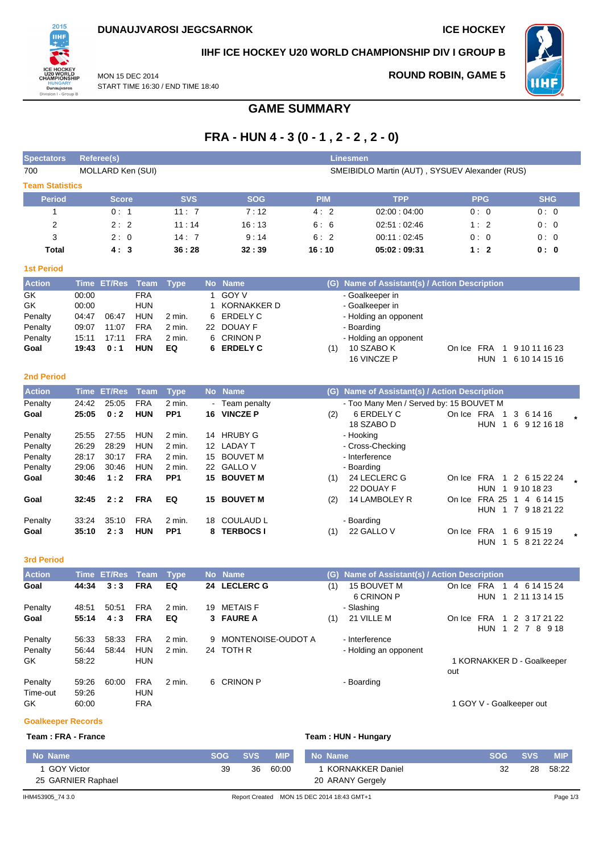

## **IIHF ICE HOCKEY U20 WORLD CHAMPIONSHIP DIV I GROUP B**

MON 15 DEC 2014 START TIME 16:30 / END TIME 18:40

# **ROUND ROBIN, GAME 5**



**GAME SUMMARY**

# **FRA - HUN 4 - 3 (0 - 1 , 2 - 2 , 2 - 0)**

| <b>Spectators</b>      |                | <b>Referee(s)</b>  |                          |                           |    |                             |            | <b>Linesmen</b>                                       |            |                |                            |  |
|------------------------|----------------|--------------------|--------------------------|---------------------------|----|-----------------------------|------------|-------------------------------------------------------|------------|----------------|----------------------------|--|
| 700                    |                | MOLLARD Ken (SUI)  |                          |                           |    |                             |            | SMEIBIDLO Martin (AUT), SYSUEV Alexander (RUS)        |            |                |                            |  |
| <b>Team Statistics</b> |                |                    |                          |                           |    |                             |            |                                                       |            |                |                            |  |
| <b>Period</b>          |                | <b>Score</b>       |                          | <b>SVS</b>                |    | <b>SOG</b>                  | <b>PIM</b> | <b>TPP</b>                                            |            | <b>PPG</b>     | <b>SHG</b>                 |  |
| 1                      |                | 0:1                |                          | 11: 7                     |    | 7:12                        | 4:2        | 02:00:04:00                                           |            | 0:0            | 0:0                        |  |
| 2                      |                | 2:2                |                          | 11:14                     |    | 16:13                       | 6:6        | 02:51:02:46                                           |            | 1:2            | 0:0                        |  |
| 3                      |                | 2:0                |                          | 14:7                      |    | 9:14                        | 6:2        | 00:11 : 02:45                                         |            | 0:0            | 0:0                        |  |
| Total                  |                | 4:3                |                          | 36:28                     |    | 32:39                       | 16:10      | 05:02:09:31                                           |            | 1:2            | 0: 0                       |  |
| <b>1st Period</b>      |                |                    |                          |                           |    |                             |            |                                                       |            |                |                            |  |
| <b>Action</b>          |                | Time ET/Res        | Team                     | <b>Type</b>               |    | No Name                     |            | (G) Name of Assistant(s) / Action Description         |            |                |                            |  |
| GK                     | 00:00          |                    | <b>FRA</b>               |                           | 1  | <b>GOY V</b>                |            | - Goalkeeper in                                       |            |                |                            |  |
| GK                     | 00:00          |                    | <b>HUN</b>               |                           | 1  | <b>KORNAKKER D</b>          |            | - Goalkeeper in                                       |            |                |                            |  |
| Penalty                | 04:47          | 06:47              | HUN                      | 2 min.                    | 6  | <b>ERDELY C</b>             |            | - Holding an opponent                                 |            |                |                            |  |
| Penalty                | 09:07          | 11:07              | <b>FRA</b>               | 2 min.                    |    | 22 DOUAY F                  |            | - Boarding                                            |            |                |                            |  |
| Penalty                | 15:11          | 17:11              | <b>FRA</b>               | 2 min.                    | 6  | <b>CRINON P</b>             |            | - Holding an opponent                                 |            |                |                            |  |
| Goal                   | 19:43          | 0:1                | <b>HUN</b>               | EQ                        | 6  | <b>ERDELY C</b>             | (1)        | 10 SZABO K                                            |            |                | On Ice FRA 1 9 10 11 16 23 |  |
|                        |                |                    |                          |                           |    |                             |            | 16 VINCZE P                                           |            |                | HUN 1 6 10 14 15 16        |  |
| <b>2nd Period</b>      |                |                    |                          |                           |    |                             |            |                                                       |            |                |                            |  |
| <b>Action</b>          |                | <b>Time ET/Res</b> |                          |                           |    | No Name                     |            |                                                       |            |                |                            |  |
|                        |                |                    | Team<br><b>FRA</b>       | <b>Type</b>               |    |                             |            | (G) Name of Assistant(s) / Action Description         |            |                |                            |  |
| Penalty<br>Goal        | 24:42<br>25:05 | 25:05<br>0:2       | <b>HUN</b>               | 2 min.<br>PP <sub>1</sub> |    | Team penalty<br>16 VINCZE P | (2)        | - Too Many Men / Served by: 15 BOUVET M<br>6 ERDELY C | On Ice FRA | $\mathbf{1}$   | 3 6 14 16                  |  |
|                        |                |                    |                          |                           |    |                             |            | 18 SZABO D                                            |            | HUN 1          | 6 9 12 16 18               |  |
| Penalty                | 25:55          | 27:55              | <b>HUN</b>               | 2 min.                    | 14 | <b>HRUBY G</b>              |            | - Hooking                                             |            |                |                            |  |
| Penalty                | 26:29          | 28:29              | <b>HUN</b>               | 2 min.                    |    | 12 LADAY T                  |            | - Cross-Checking                                      |            |                |                            |  |
| Penalty                | 28:17          | 30:17              | <b>FRA</b>               | 2 min.                    | 15 | <b>BOUVET M</b>             |            | - Interference                                        |            |                |                            |  |
| Penalty                | 29:06          | 30:46              | <b>HUN</b>               | 2 min.                    |    | 22 GALLO V                  |            | - Boarding                                            |            |                |                            |  |
| Goal                   | 30:46          | 1:2                | <b>FRA</b>               | PP <sub>1</sub>           |    | 15 BOUVET M                 | (1)        | 24 LECLERC G                                          | On Ice FRA |                | 1 2 6 15 22 24             |  |
|                        |                |                    |                          |                           |    |                             |            | 22 DOUAY F                                            |            |                | HUN 1 9 10 18 23           |  |
| Goal                   | 32:45          | 2:2                | <b>FRA</b>               | EQ                        | 15 | <b>BOUVET M</b>             | (2)        | 14 LAMBOLEY R                                         |            |                | On Ice FRA 25 1 4 6 14 15  |  |
|                        |                |                    |                          |                           |    |                             |            |                                                       |            |                | HUN 1 7 9 18 21 22         |  |
| Penalty                | 33:24          | 35:10              | <b>FRA</b>               | 2 min.                    | 18 | <b>COULAUD L</b>            |            | - Boarding                                            |            |                |                            |  |
| Goal                   | 35:10          | 2:3                | <b>HUN</b>               | PP <sub>1</sub>           | 8  | <b>TERBOCS I</b>            | (1)        | 22 GALLO V                                            | On Ice     | FRA<br>1       | 6 9 1 5 1 9                |  |
|                        |                |                    |                          |                           |    |                             |            |                                                       |            | HUN 1          | 5 8 21 22 24               |  |
| <b>3rd Period</b>      |                |                    |                          |                           |    |                             |            |                                                       |            |                |                            |  |
| <b>Action</b>          |                | Time ET/Res        | Team                     | <b>Type</b>               |    | No Name                     | (G)        | Name of Assistant(s) / Action Description             |            |                |                            |  |
| Goal                   | 44:34          | 3:3                | <b>FRA</b>               | EQ                        |    | 24 LECLERC G                | (1)        | 15 BOUVET M                                           | On Ice FRA | $\overline{1}$ | 4 6 14 15 24               |  |
|                        |                |                    |                          |                           |    |                             |            | 6 CRINON P                                            |            |                | HUN 1 2 11 13 14 15        |  |
| Penalty                | 48:51          | 50:51              | <b>FRA</b>               | 2 min.                    |    | 19 METAIS F                 |            | - Slashing                                            |            |                |                            |  |
| Goal                   | 55:14          | 4:3                | <b>FRA</b>               | EQ                        |    | 3 FAURE A                   | (1)        | 21 VILLE M                                            |            |                | On Ice FRA 1 2 3 17 21 22  |  |
|                        |                |                    |                          |                           |    |                             |            |                                                       |            |                | HUN 1 2 7 8 9 18           |  |
| Penalty                | 56:33          | 58:33              | <b>FRA</b>               | 2 min.                    | 9  | MONTENOISE-OUDOT A          |            | - Interference                                        |            |                |                            |  |
| Penalty                | 56:44          | 58:44              | <b>HUN</b>               | 2 min.                    |    | 24 TOTH R                   |            | - Holding an opponent                                 |            |                |                            |  |
| GK                     | 58:22          |                    | <b>HUN</b>               |                           |    |                             |            |                                                       |            |                | 1 KORNAKKER D - Goalkeeper |  |
|                        |                |                    |                          |                           |    |                             |            |                                                       | out        |                |                            |  |
| Penalty                | 59:26          | 60:00              | <b>FRA</b>               | 2 min.                    |    | 6 CRINON P                  |            | - Boarding                                            |            |                |                            |  |
| Time-out               | 59:26          |                    | <b>HUN</b><br><b>FRA</b> |                           |    |                             |            |                                                       |            |                | 1 GOY V - Goalkeeper out   |  |
| GK                     | 60:00          |                    |                          |                           |    |                             |            |                                                       |            |                |                            |  |

### **Goalkeeper Records**

**Team : FRA - France Team : HUN - Hungary**

| No Name                          | <b>SOG</b> | <b>SVS</b> | <b>MIP</b> | No Name                                    | <b>SOG</b> | <b>SVS</b> | <b>MIP</b> |
|----------------------------------|------------|------------|------------|--------------------------------------------|------------|------------|------------|
| GOY Victor<br>25 GARNIER Raphael | 39         | 36         | 60:00      | KORNAKKER Daniel<br>20 ARANY Gergely       | 32         | 28         | 58:22      |
| IHM453905 74 3.0                 |            |            |            | Report Created MON 15 DEC 2014 18:43 GMT+1 |            |            | Page 1/3   |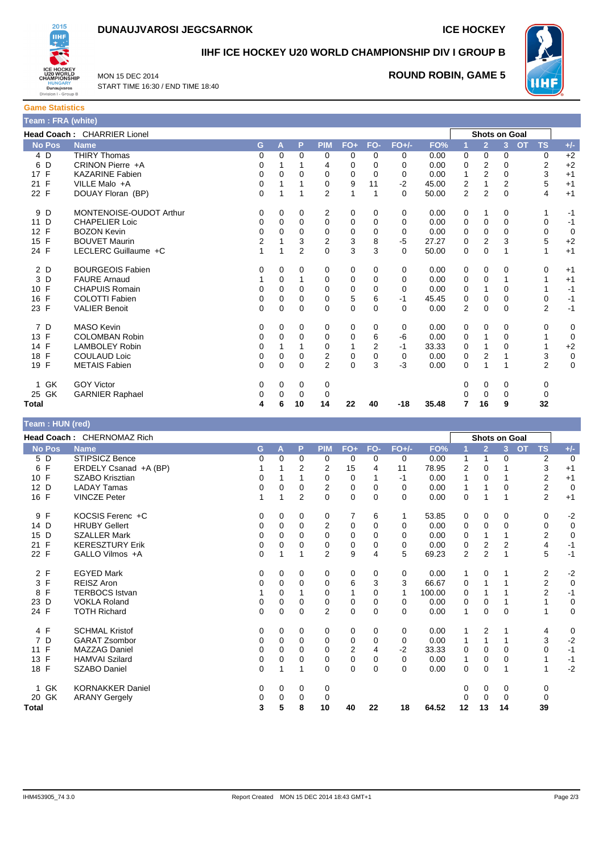



**IIHF ICE HOCKEY U20 WORLD CHAMPIONSHIP DIV I GROUP B**



MON 15 DEC 2014 START TIME 16:30 / END TIME 18:40

# **ROUND ROBIN, GAME 5**

| <b>Game Statistics</b> |                             |    |   |            |          |    |         |       |   |                      |          |           |       |
|------------------------|-----------------------------|----|---|------------|----------|----|---------|-------|---|----------------------|----------|-----------|-------|
| Team: FRA (white)      |                             |    |   |            |          |    |         |       |   |                      |          |           |       |
|                        | Head Coach: CHARRIER Lionel |    |   |            |          |    |         |       |   | <b>Shots on Goal</b> |          |           |       |
| <b>No Pos</b>          | <b>Name</b>                 | G. | A | <b>PIM</b> | $FO+FO-$ |    | $FO+/-$ | FO%   |   |                      |          | <b>TS</b> | $+/-$ |
| 4 D                    | <b>THIRY Thomas</b>         | 0  |   |            |          |    | 0       | 0.00  | 0 |                      | 0        |           | $+2$  |
| 6 D                    | CRINON Pierre +A            |    |   | 4          |          |    | 0       | 0.00  | 0 |                      | $\Omega$ |           | $+2$  |
| 17 F                   | <b>KAZARINE Fabien</b>      |    |   |            |          |    | 0       | 0.00  |   |                      | 0        |           | $+1$  |
| 21 F                   | VILLE Malo +A               |    |   |            | 9        | 11 | -2      | 45.00 | 2 |                      |          | 5         | $+1$  |
| 22 F                   | DOUAY Floran (BP)           |    |   |            |          |    |         | 50.00 | 2 |                      | $\Omega$ |           | $+1$  |

| <b>No Pos</b> | <b>Name</b>             | G        | A        | Р              | <b>PIM</b>     | $FO+$    | FO-            | $FO+/-$  | FO%   |                | $\overline{2}$ | 3        | <b>TS</b><br><b>OT</b> | $+/-$       |
|---------------|-------------------------|----------|----------|----------------|----------------|----------|----------------|----------|-------|----------------|----------------|----------|------------------------|-------------|
| 4 D           | <b>THIRY Thomas</b>     | 0        | $\Omega$ | $\Omega$       | 0              | 0        | $\Omega$       | 0        | 0.00  | 0              | 0              | $\Omega$ | 0                      | $+2$        |
| 6 D           | CRINON Pierre +A        |          |          |                | 4              | 0        | 0              | 0        | 0.00  | 0              | 2              | 0        | $\overline{2}$         | $+2$        |
| 17 F          | <b>KAZARINE Fabien</b>  | 0        | 0        | 0              | 0              | 0        | $\Omega$       | 0        | 0.00  |                | $\overline{2}$ | $\Omega$ | 3                      | $+1$        |
| E<br>21       | VILLE Malo +A           | 0        |          |                | $\Omega$       | 9        | 11             | $-2$     | 45.00 | 2              | 1              | 2        | 5                      | $+1$        |
| 22 F          | DOUAY Floran (BP)       | 0        |          |                | $\overline{2}$ | 1        |                | $\Omega$ | 50.00 | 2              | $\overline{2}$ | $\Omega$ | 4                      | $+1$        |
| 9 D           | MONTENOISE-OUDOT Arthur | 0        | 0        | 0              | 2              | 0        | 0              | 0        | 0.00  | 0              |                | 0        |                        | $-1$        |
| D<br>11       | <b>CHAPELIER Loic</b>   |          | 0        | 0              | 0              | 0        | 0              | 0        | 0.00  | 0              | $\mathbf 0$    | 0        | 0                      | $-1$        |
| 12 F          | <b>BOZON Kevin</b>      |          | 0        | 0              | 0              | 0        | 0              | 0        | 0.00  | 0              | 0              | 0        | 0                      | 0           |
| 15 F          | <b>BOUVET Maurin</b>    | 2        |          | 3              | $\overline{2}$ | 3        | 8              | $-5$     | 27.27 | $\Omega$       | $\overline{2}$ | 3        | 5                      | $+2$        |
| 24 F          | LECLERC Guillaume +C    |          |          | $\overline{2}$ | 0              | 3        | 3              | $\Omega$ | 50.00 | 0              | 0              |          | 1                      | $+1$        |
| 2 D           | <b>BOURGEOIS Fabien</b> | 0        | 0        | 0              | 0              | 0        | 0              | 0        | 0.00  | 0              | 0              | 0        | 0                      | $+1$        |
| 3 D           | <b>FAURE Arnaud</b>     |          | 0        |                | 0              | 0        | 0              | 0        | 0.00  | 0              | 0              |          |                        | $+1$        |
| 10 F          | <b>CHAPUIS Romain</b>   | 0        | $\Omega$ | 0              | 0              | 0        | 0              | $\Omega$ | 0.00  | 0              | 1              | $\Omega$ |                        | $-1$        |
| 16 F          | <b>COLOTTI Fabien</b>   | 0        | 0        | 0              | 0              | 5        | 6              | -1       | 45.45 | 0              | 0              | 0        | 0                      | $-1$        |
| 23 F          | <b>VALIER Benoit</b>    | $\Omega$ | $\Omega$ | $\Omega$       | $\Omega$       | 0        | $\Omega$       | $\Omega$ | 0.00  | $\overline{2}$ | $\Omega$       | $\Omega$ | $\overline{2}$         | $-1$        |
| 7 D           | <b>MASO Kevin</b>       | 0        | 0        | 0              | 0              | 0        | 0              | 0        | 0.00  | 0              | 0              | 0        | 0                      | 0           |
| 13 F          | <b>COLOMBAN Robin</b>   |          | $\Omega$ | 0              | 0              | 0        | 6              | -6       | 0.00  | 0              |                | 0        |                        | 0           |
| 14 F          | <b>LAMBOLEY Robin</b>   | 0        |          |                | 0              |          | $\overline{2}$ | -1       | 33.33 | 0              |                | 0        | 1                      | $+2$        |
| 18 F          | <b>COULAUD Loic</b>     | 0        | 0        | 0              | $\mathbf 2$    | 0        | 0              | 0        | 0.00  | 0              | $\overline{2}$ |          | 3                      | $\mathbf 0$ |
| 19 F          | <b>METAIS Fabien</b>    | $\Omega$ | $\Omega$ | $\Omega$       | $\overline{2}$ | $\Omega$ | 3              | $-3$     | 0.00  | $\Omega$       | 1              |          | $\overline{2}$         | $\Omega$    |
| 1 GK          | <b>GOY Victor</b>       | 0        | 0        | 0              | 0              |          |                |          |       | 0              | 0              | 0        | 0                      |             |
| 25 GK         | <b>GARNIER Raphael</b>  |          | 0        | $\Omega$       | 0              |          |                |          |       |                | $\Omega$       | 0        | $\Omega$               |             |
| Total         |                         | 4        | 6        | 10             | 14             | 22       | 40             | $-18$    | 35.48 |                | 16             | 9        | 32                     |             |

| Team: HUN (red)    |                            |          |             |                |                |                |          |          |        |                |                      |                |           |                |                |
|--------------------|----------------------------|----------|-------------|----------------|----------------|----------------|----------|----------|--------|----------------|----------------------|----------------|-----------|----------------|----------------|
|                    | Head Coach: CHERNOMAZ Rich |          |             |                |                |                |          |          |        |                | <b>Shots on Goal</b> |                |           |                |                |
| <b>No Pos</b>      | <b>Name</b>                | G        | A           | P              | <b>PIM</b>     | $FO+$          | FO-      | $FO+/-$  | FO%    |                | $\overline{2}$       | 3 <sup>1</sup> | <b>OT</b> | <b>TS</b>      | $+/-$          |
| 5 D                | <b>STIPSICZ Bence</b>      | 0        | $\Omega$    | 0              | 0              | 0              | 0        | 0        | 0.00   |                | 1                    | 0              |           | $\overline{2}$ | $\mathbf 0$    |
| $\mathsf{F}$<br>6  | ERDELY Csanad +A (BP)      |          |             | 2              | 2              | 15             | 4        | 11       | 78.95  | 2              | $\Omega$             |                |           | 3              | $+1$           |
| 10 F               | <b>SZABO Krisztian</b>     | 0        |             |                | 0              | 0              |          | -1       | 0.00   |                | 0                    |                |           | 2              | $+1$           |
| 12 D               | <b>LADAY Tamas</b>         | 0        | 0           | $\Omega$       | 2              | 0              | 0        | 0        | 0.00   | 1              | 1                    | $\Omega$       |           | $\overline{2}$ | $\overline{0}$ |
| 16 F               | <b>VINCZE Peter</b>        |          | 1           | $\overline{2}$ | 0              | $\mathbf 0$    | 0        | 0        | 0.00   | $\mathbf 0$    | 1                    |                |           | $\overline{2}$ | $+1$           |
| F<br>9             | KOCSIS Ferenc +C           | 0        | 0           | 0              | 0              | 7              | 6        | 1        | 53.85  | 0              | 0                    | $\Omega$       |           | 0              | $-2$           |
| 14 D               | <b>HRUBY Gellert</b>       | 0        | 0           | $\mathbf 0$    | 2              | 0              | $\Omega$ | 0        | 0.00   | 0              | 0                    | $\Omega$       |           | 0              | $\mathbf 0$    |
| D<br>15            | <b>SZALLER Mark</b>        | 0        | $\Omega$    | $\Omega$       | $\Omega$       | 0              | $\Omega$ | 0        | 0.00   | $\Omega$       | 1                    |                |           | 2              | $\mathbf 0$    |
| $\mathsf{F}$<br>21 | <b>KERESZTURY Erik</b>     | 0        | 0           | 0              | 0              | 0              | 0        | 0        | 0.00   | 0              | $\overline{2}$       | 2              |           | 4              | $-1$           |
| 22 F               | GALLO Vilmos +A            | 0        | 1           |                | $\overline{2}$ | 9              | 4        | 5        | 69.23  | $\overline{2}$ | $\overline{2}$       |                |           | 5              | $-1$           |
| 2 F                | <b>EGYED Mark</b>          | 0        | 0           | 0              | 0              | 0              | 0        | 0        | 0.00   | 1              | 0                    |                |           | 2              | $-2$           |
| F<br>3             | <b>REISZ Aron</b>          | 0        | 0           | $\Omega$       | 0              | 6              | 3        | 3        | 66.67  | 0              | 1                    |                |           | $\overline{2}$ | $\mathbf 0$    |
| F<br>8             | <b>TERBOCS Istvan</b>      |          | 0           |                | 0              | 1              | 0        | 1        | 100.00 | 0              |                      |                |           | $\overline{2}$ | $-1$           |
| D<br>23            | <b>VOKLA Roland</b>        | 0        | 0           | $\Omega$       | 0              | 0              | $\Omega$ | $\Omega$ | 0.00   | 0              | 0                    |                |           | 1              | $\mathbf 0$    |
| 24 F               | <b>TOTH Richard</b>        | $\Omega$ | $\mathbf 0$ | $\Omega$       | 2              | $\mathbf 0$    | $\Omega$ | 0        | 0.00   | 1              | $\Omega$             | $\Omega$       |           | 1              | $\mathbf 0$    |
| 4 F                | <b>SCHMAL Kristof</b>      | 0        | 0           | 0              | 0              | 0              | $\Omega$ | 0        | 0.00   |                | 2                    |                |           | 4              | 0              |
| D<br>7             | <b>GARAT Zsombor</b>       | 0        | 0           | $\Omega$       | 0              | 0              | 0        | 0        | 0.00   |                | 1                    |                |           | 3              | $-2$           |
| 11 F               | <b>MAZZAG Daniel</b>       | 0        | $\Omega$    | $\Omega$       | $\Omega$       | $\overline{2}$ | 4        | $-2$     | 33.33  | 0              | 0                    | $\Omega$       |           | $\Omega$       | $-1$           |
| F<br>13            | <b>HAMVAI Szilard</b>      | 0        | 0           | 0              | 0              | 0              | 0        | 0        | 0.00   | 1              | 0                    | 0              |           | 1              | $-1$           |
| 18 F               | <b>SZABO Daniel</b>        | 0        | 1           |                | $\Omega$       | $\Omega$       | $\Omega$ | 0        | 0.00   | $\Omega$       | 0                    |                |           | 1              | $-2$           |
| 1 GK               | <b>KORNAKKER Daniel</b>    | 0        | 0           | 0              | 0              |                |          |          |        | 0              | 0                    | 0              |           | 0              |                |
| 20 GK              | <b>ARANY Gergely</b>       | 0        | $\Omega$    | $\Omega$       | 0              |                |          |          |        | 0              | $\Omega$             | $\Omega$       |           | 0              |                |
| <b>Total</b>       |                            | 3        | 5           | 8              | 10             | 40             | 22       | 18       | 64.52  | 12             | 13                   | 14             |           | 39             |                |